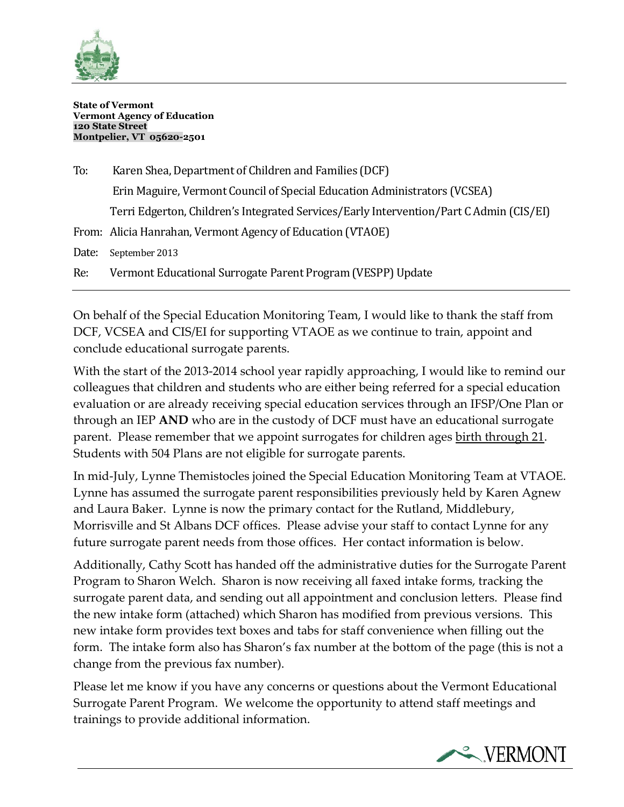

**State of Vermont Vermont Agency of Education 120 State Street Montpelier, VT 05620-2501**

| To:   | Karen Shea, Department of Children and Families (DCF)                                   |
|-------|-----------------------------------------------------------------------------------------|
|       | Erin Maguire, Vermont Council of Special Education Administrators (VCSEA)               |
|       | Terri Edgerton, Children's Integrated Services/Early Intervention/Part C Admin (CIS/EI) |
|       | From: Alicia Hanrahan, Vermont Agency of Education (VTAOE)                              |
| Date: | September 2013                                                                          |
| Re:   | Vermont Educational Surrogate Parent Program (VESPP) Update                             |

Ī

On behalf of the Special Education Monitoring Team, I would like to thank the staff from DCF, VCSEA and CIS/EI for supporting VTAOE as we continue to train, appoint and conclude educational surrogate parents.

With the start of the 2013-2014 school year rapidly approaching, I would like to remind our colleagues that children and students who are either being referred for a special education evaluation or are already receiving special education services through an IFSP/One Plan or through an IEP **AND** who are in the custody of DCF must have an educational surrogate parent. Please remember that we appoint surrogates for children ages birth through 21. Students with 504 Plans are not eligible for surrogate parents.

In mid-July, Lynne Themistocles joined the Special Education Monitoring Team at VTAOE. Lynne has assumed the surrogate parent responsibilities previously held by Karen Agnew and Laura Baker. Lynne is now the primary contact for the Rutland, Middlebury, Morrisville and St Albans DCF offices. Please advise your staff to contact Lynne for any future surrogate parent needs from those offices. Her contact information is below.

Additionally, Cathy Scott has handed off the administrative duties for the Surrogate Parent Program to Sharon Welch. Sharon is now receiving all faxed intake forms, tracking the surrogate parent data, and sending out all appointment and conclusion letters. Please find the new intake form (attached) which Sharon has modified from previous versions. This new intake form provides text boxes and tabs for staff convenience when filling out the form. The intake form also has Sharon's fax number at the bottom of the page (this is not a change from the previous fax number).

Please let me know if you have any concerns or questions about the Vermont Educational Surrogate Parent Program. We welcome the opportunity to attend staff meetings and trainings to provide additional information.